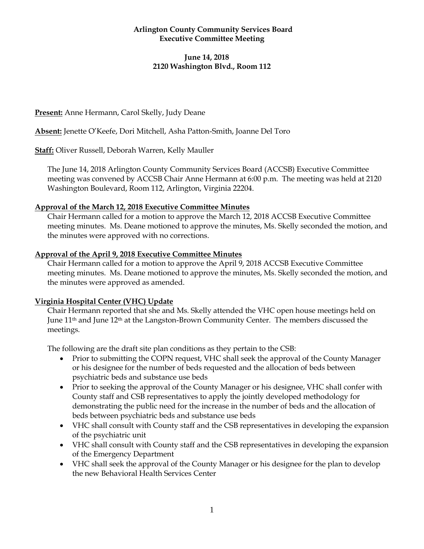### **Arlington County Community Services Board Executive Committee Meeting**

## **June 14, 2018 2120 Washington Blvd., Room 112**

## **Present:** Anne Hermann, Carol Skelly, Judy Deane

**Absent:** Jenette O'Keefe, Dori Mitchell, Asha Patton-Smith, Joanne Del Toro

## **Staff:** Oliver Russell, Deborah Warren, Kelly Mauller

The June 14, 2018 Arlington County Community Services Board (ACCSB) Executive Committee meeting was convened by ACCSB Chair Anne Hermann at 6:00 p.m. The meeting was held at 2120 Washington Boulevard, Room 112, Arlington, Virginia 22204.

#### **Approval of the March 12, 2018 Executive Committee Minutes**

Chair Hermann called for a motion to approve the March 12, 2018 ACCSB Executive Committee meeting minutes. Ms. Deane motioned to approve the minutes, Ms. Skelly seconded the motion, and the minutes were approved with no corrections.

## **Approval of the April 9, 2018 Executive Committee Minutes**

Chair Hermann called for a motion to approve the April 9, 2018 ACCSB Executive Committee meeting minutes. Ms. Deane motioned to approve the minutes, Ms. Skelly seconded the motion, and the minutes were approved as amended.

#### **Virginia Hospital Center (VHC) Update**

Chair Hermann reported that she and Ms. Skelly attended the VHC open house meetings held on June 11<sup>th</sup> and June 12<sup>th</sup> at the Langston-Brown Community Center. The members discussed the meetings.

The following are the draft site plan conditions as they pertain to the CSB:

- Prior to submitting the COPN request, VHC shall seek the approval of the County Manager or his designee for the number of beds requested and the allocation of beds between psychiatric beds and substance use beds
- Prior to seeking the approval of the County Manager or his designee, VHC shall confer with County staff and CSB representatives to apply the jointly developed methodology for demonstrating the public need for the increase in the number of beds and the allocation of beds between psychiatric beds and substance use beds
- VHC shall consult with County staff and the CSB representatives in developing the expansion of the psychiatric unit
- VHC shall consult with County staff and the CSB representatives in developing the expansion of the Emergency Department
- VHC shall seek the approval of the County Manager or his designee for the plan to develop the new Behavioral Health Services Center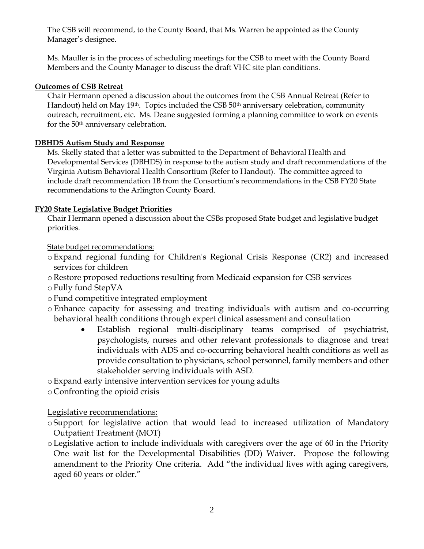The CSB will recommend, to the County Board, that Ms. Warren be appointed as the County Manager's designee.

Ms. Mauller is in the process of scheduling meetings for the CSB to meet with the County Board Members and the County Manager to discuss the draft VHC site plan conditions.

## **Outcomes of CSB Retreat**

Chair Hermann opened a discussion about the outcomes from the CSB Annual Retreat (Refer to Handout) held on May  $19<sup>th</sup>$ . Topics included the CSB  $50<sup>th</sup>$  anniversary celebration, community outreach, recruitment, etc. Ms. Deane suggested forming a planning committee to work on events for the 50<sup>th</sup> anniversary celebration.

## **DBHDS Autism Study and Response**

Ms. Skelly stated that a letter was submitted to the Department of Behavioral Health and Developmental Services (DBHDS) in response to the autism study and draft recommendations of the Virginia Autism Behavioral Health Consortium (Refer to Handout). The committee agreed to include draft recommendation 1B from the Consortium's recommendations in the CSB FY20 State recommendations to the Arlington County Board.

## **FY20 State Legislative Budget Priorities**

Chair Hermann opened a discussion about the CSBs proposed State budget and legislative budget priorities.

State budget recommendations:

- oExpand regional funding for Children's Regional Crisis Response (CR2) and increased services for children
- oRestore proposed reductions resulting from Medicaid expansion for CSB services
- oFully fund StepVA
- oFund competitive integrated employment
- o Enhance capacity for assessing and treating individuals with autism and co-occurring behavioral health conditions through expert clinical assessment and consultation
	- Establish regional multi-disciplinary teams comprised of psychiatrist, psychologists, nurses and other relevant professionals to diagnose and treat individuals with ADS and co-occurring behavioral health conditions as well as provide consultation to physicians, school personnel, family members and other stakeholder serving individuals with ASD.

oExpand early intensive intervention services for young adults

o Confronting the opioid crisis

# Legislative recommendations:

- oSupport for legislative action that would lead to increased utilization of Mandatory Outpatient Treatment (MOT)
- oLegislative action to include individuals with caregivers over the age of 60 in the Priority One wait list for the Developmental Disabilities (DD) Waiver. Propose the following amendment to the Priority One criteria. Add "the individual lives with aging caregivers, aged 60 years or older."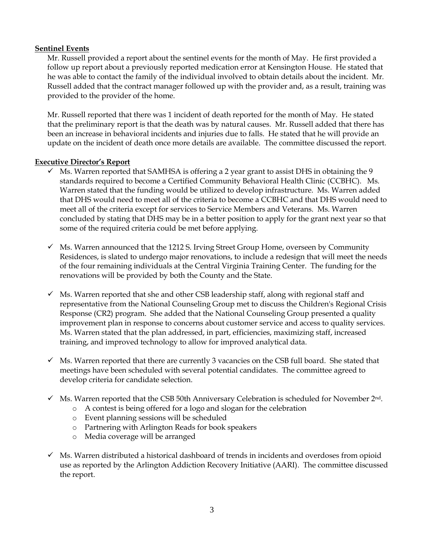### **Sentinel Events**

Mr. Russell provided a report about the sentinel events for the month of May. He first provided a follow up report about a previously reported medication error at Kensington House. He stated that he was able to contact the family of the individual involved to obtain details about the incident. Mr. Russell added that the contract manager followed up with the provider and, as a result, training was provided to the provider of the home.

Mr. Russell reported that there was 1 incident of death reported for the month of May. He stated that the preliminary report is that the death was by natural causes. Mr. Russell added that there has been an increase in behavioral incidents and injuries due to falls. He stated that he will provide an update on the incident of death once more details are available. The committee discussed the report.

#### **Executive Director's Report**

- $\checkmark$  Ms. Warren reported that SAMHSA is offering a 2 year grant to assist DHS in obtaining the 9 standards required to become a Certified Community Behavioral Health Clinic (CCBHC). Ms. Warren stated that the funding would be utilized to develop infrastructure. Ms. Warren added that DHS would need to meet all of the criteria to become a CCBHC and that DHS would need to meet all of the criteria except for services to Service Members and Veterans. Ms. Warren concluded by stating that DHS may be in a better position to apply for the grant next year so that some of the required criteria could be met before applying.
- $\checkmark$  Ms. Warren announced that the 1212 S. Irving Street Group Home, overseen by Community Residences, is slated to undergo major renovations, to include a redesign that will meet the needs of the four remaining individuals at the Central Virginia Training Center. The funding for the renovations will be provided by both the County and the State.
- $\checkmark$  Ms. Warren reported that she and other CSB leadership staff, along with regional staff and representative from the National Counseling Group met to discuss the Children's Regional Crisis Response (CR2) program. She added that the National Counseling Group presented a quality improvement plan in response to concerns about customer service and access to quality services. Ms. Warren stated that the plan addressed, in part, efficiencies, maximizing staff, increased training, and improved technology to allow for improved analytical data.
- $\checkmark$  Ms. Warren reported that there are currently 3 vacancies on the CSB full board. She stated that meetings have been scheduled with several potential candidates. The committee agreed to develop criteria for candidate selection.
- $\checkmark$  Ms. Warren reported that the CSB 50th Anniversary Celebration is scheduled for November 2<sup>nd</sup>.
	- o A contest is being offered for a logo and slogan for the celebration
	- o Event planning sessions will be scheduled
	- o Partnering with Arlington Reads for book speakers
	- o Media coverage will be arranged
- $\checkmark$  Ms. Warren distributed a historical dashboard of trends in incidents and overdoses from opioid use as reported by the Arlington Addiction Recovery Initiative (AARI). The committee discussed the report.